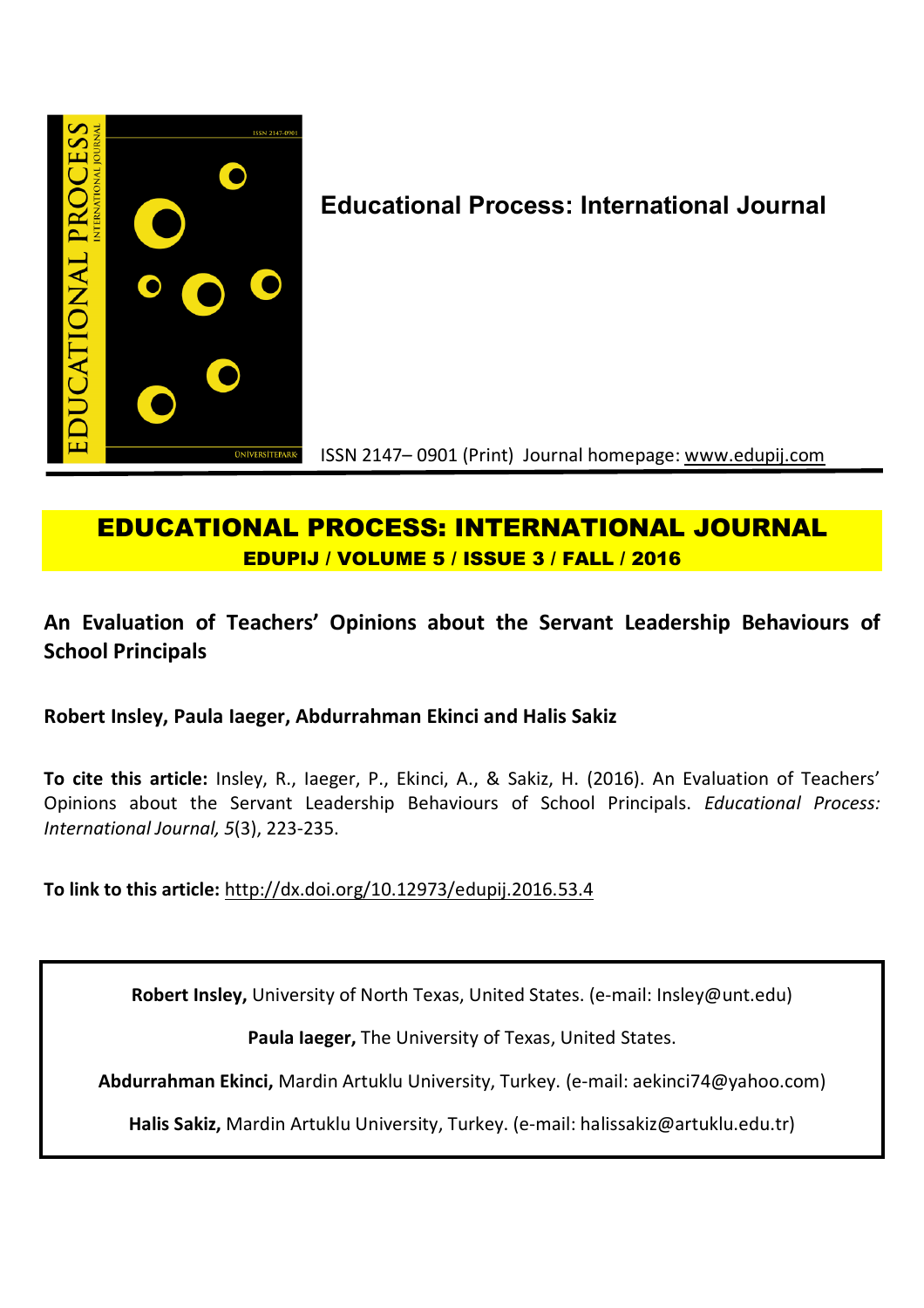

# **Educational Process: International Journal**

ISSN 2147– 0901 (Print) Journal homepage: www.edupij.com

## **EDUCATIONAL PROCESS: INTERNATIONAL JOURNAL EDUPIJ / VOLUME 5 / ISSUE 3 / FALL / 2016**

## **An Evaluation of Teachers' Opinions about the Servant Leadership Behaviours of School Principals**

**Robert Insley, Paula Iaeger, Abdurrahman Ekinci and Halis Sakiz**

**To cite this article:** Insley, R., Iaeger, P., Ekinci, A., & Sakiz, H. (2016). An Evaluation of Teachers' Opinions about the Servant Leadership Behaviours of School Principals. *Educational Process: International Journal, 5*(3), 223-235.

**To link to this article:** http://dx.doi.org/10.12973/edupij.2016.53.4

**Robert Insley,** University of North Texas, United States. (e-mail: Insley@unt.edu)

**Paula Iaeger,** The University of Texas, United States.

**Abdurrahman Ekinci,** Mardin Artuklu University, Turkey. (e-mail: aekinci74@yahoo.com)

**Halis Sakiz,** Mardin Artuklu University, Turkey. (e-mail: halissakiz@artuklu.edu.tr)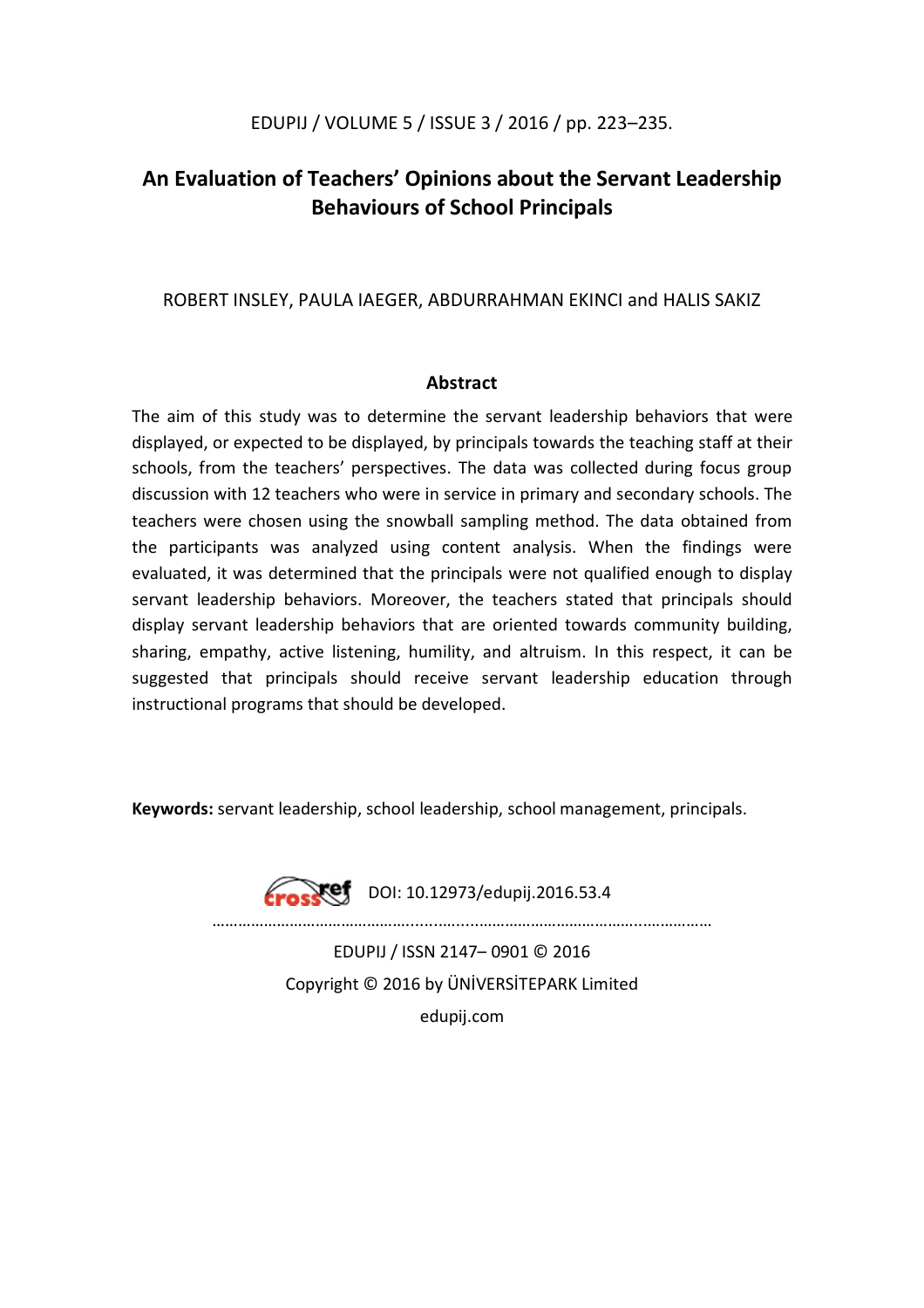### EDUPIJ / VOLUME 5 / ISSUE 3 / 2016 / pp. 223–235.

## **An Evaluation of Teachers' Opinions about the Servant Leadership Behaviours of School Principals**

### ROBERT INSLEY, PAULA IAEGER, ABDURRAHMAN EKINCI and HALIS SAKIZ

#### **Abstract**

The aim of this study was to determine the servant leadership behaviors that were displayed, or expected to be displayed, by principals towards the teaching staff at their schools, from the teachers' perspectives. The data was collected during focus group discussion with 12 teachers who were in service in primary and secondary schools. The teachers were chosen using the snowball sampling method. The data obtained from the participants was analyzed using content analysis. When the findings were evaluated, it was determined that the principals were not qualified enough to display servant leadership behaviors. Moreover, the teachers stated that principals should display servant leadership behaviors that are oriented towards community building, sharing, empathy, active listening, humility, and altruism. In this respect, it can be suggested that principals should receive servant leadership education through instructional programs that should be developed.

**Keywords:** servant leadership, school leadership, school management, principals.



**Eross@f** DOI: 10.12973/edupij.2016.53.4

………………………………………........….....………………………………...……………

EDUPIJ / ISSN 2147– 0901 © 2016 Copyright © 2016 by ÜNİVERSİTEPARK Limited edupij.com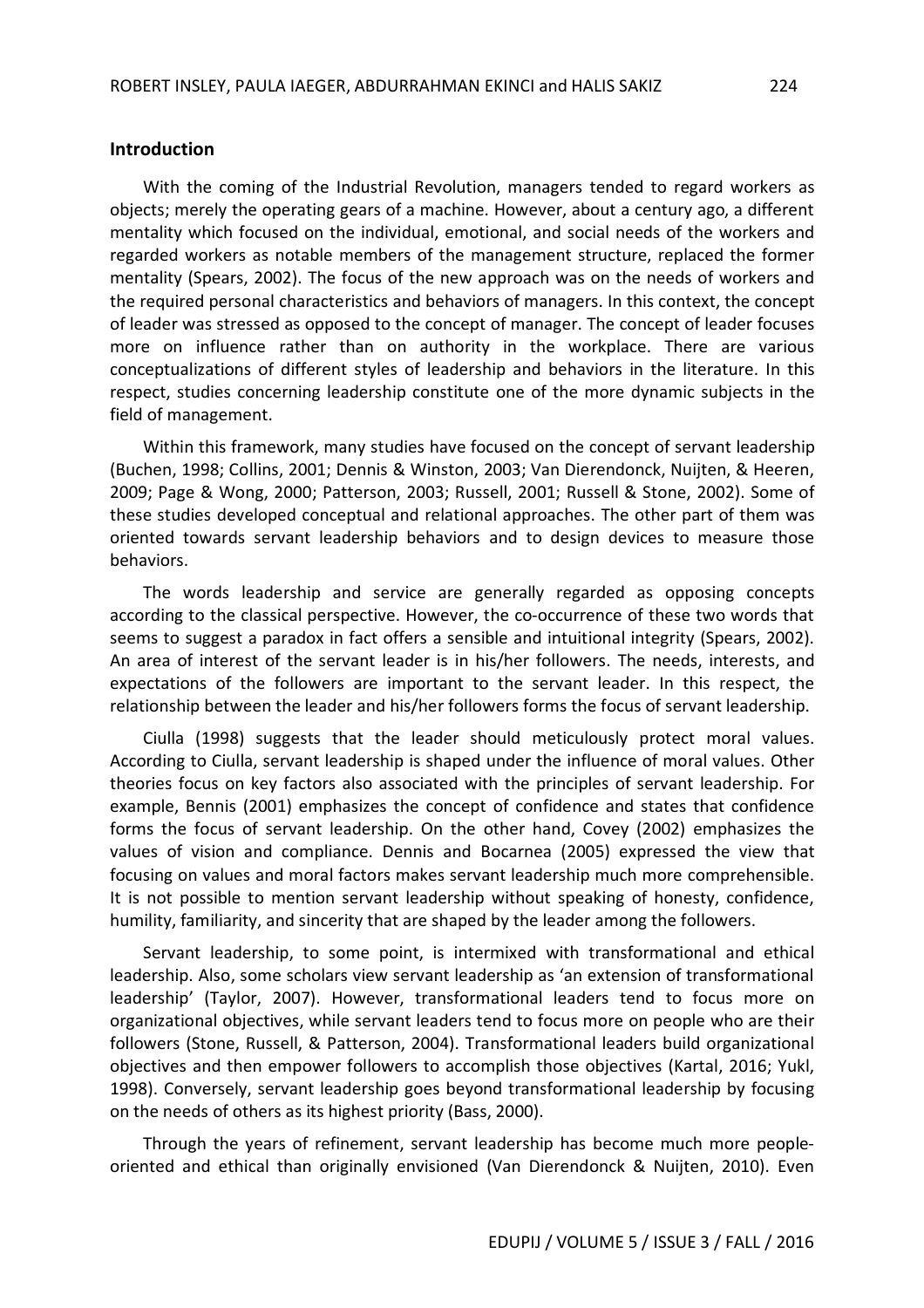#### **Introduction**

With the coming of the Industrial Revolution, managers tended to regard workers as objects; merely the operating gears of a machine. However, about a century ago, a different mentality which focused on the individual, emotional, and social needs of the workers and regarded workers as notable members of the management structure, replaced the former mentality (Spears, 2002). The focus of the new approach was on the needs of workers and the required personal characteristics and behaviors of managers. In this context, the concept of leader was stressed as opposed to the concept of manager. The concept of leader focuses more on influence rather than on authority in the workplace. There are various conceptualizations of different styles of leadership and behaviors in the literature. In this respect, studies concerning leadership constitute one of the more dynamic subjects in the field of management.

Within this framework, many studies have focused on the concept of servant leadership (Buchen, 1998; Collins, 2001; Dennis & Winston, 2003; Van Dierendonck, Nuijten, & Heeren, 2009; Page & Wong, 2000; Patterson, 2003; Russell, 2001; Russell & Stone, 2002). Some of these studies developed conceptual and relational approaches. The other part of them was oriented towards servant leadership behaviors and to design devices to measure those behaviors.

The words leadership and service are generally regarded as opposing concepts according to the classical perspective. However, the co-occurrence of these two words that seems to suggest a paradox in fact offers a sensible and intuitional integrity (Spears, 2002). An area of interest of the servant leader is in his/her followers. The needs, interests, and expectations of the followers are important to the servant leader. In this respect, the relationship between the leader and his/her followers forms the focus of servant leadership.

Ciulla (1998) suggests that the leader should meticulously protect moral values. According to Ciulla, servant leadership is shaped under the influence of moral values. Other theories focus on key factors also associated with the principles of servant leadership. For example, Bennis (2001) emphasizes the concept of confidence and states that confidence forms the focus of servant leadership. On the other hand, Covey (2002) emphasizes the values of vision and compliance. Dennis and Bocarnea (2005) expressed the view that focusing on values and moral factors makes servant leadership much more comprehensible. It is not possible to mention servant leadership without speaking of honesty, confidence, humility, familiarity, and sincerity that are shaped by the leader among the followers.

Servant leadership, to some point, is intermixed with transformational and ethical leadership. Also, some scholars view servant leadership as 'an extension of transformational leadership' (Taylor, 2007). However, transformational leaders tend to focus more on organizational objectives, while servant leaders tend to focus more on people who are their followers (Stone, Russell, & Patterson, 2004). Transformational leaders build organizational objectives and then empower followers to accomplish those objectives (Kartal, 2016; Yukl, 1998). Conversely, servant leadership goes beyond transformational leadership by focusing on the needs of others as its highest priority (Bass, 2000).

Through the years of refinement, servant leadership has become much more peopleoriented and ethical than originally envisioned (Van Dierendonck & Nuijten, 2010). Even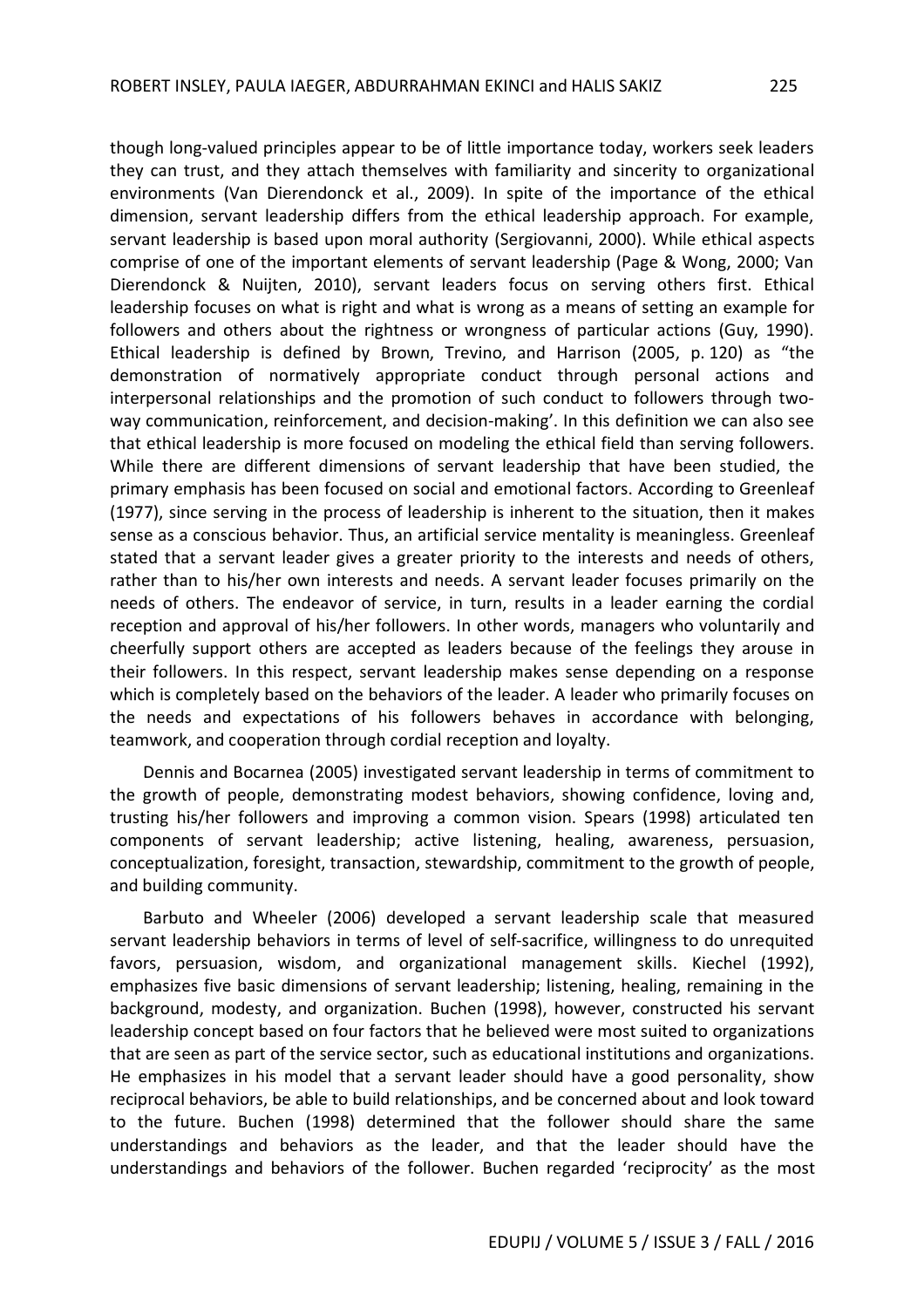though long-valued principles appear to be of little importance today, workers seek leaders they can trust, and they attach themselves with familiarity and sincerity to organizational environments (Van Dierendonck et al., 2009). In spite of the importance of the ethical dimension, servant leadership differs from the ethical leadership approach. For example, servant leadership is based upon moral authority (Sergiovanni, 2000). While ethical aspects comprise of one of the important elements of servant leadership (Page & Wong, 2000; Van Dierendonck & Nuijten, 2010), servant leaders focus on serving others first. Ethical leadership focuses on what is right and what is wrong as a means of setting an example for followers and others about the rightness or wrongness of particular actions (Guy, 1990). Ethical leadership is defined by Brown, Trevino, and Harrison (2005, p. 120) as "the demonstration of normatively appropriate conduct through personal actions and interpersonal relationships and the promotion of such conduct to followers through twoway communication, reinforcement, and decision-making'. In this definition we can also see that ethical leadership is more focused on modeling the ethical field than serving followers.

While there are different dimensions of servant leadership that have been studied, the primary emphasis has been focused on social and emotional factors. According to Greenleaf (1977), since serving in the process of leadership is inherent to the situation, then it makes sense as a conscious behavior. Thus, an artificial service mentality is meaningless. Greenleaf stated that a servant leader gives a greater priority to the interests and needs of others, rather than to his/her own interests and needs. A servant leader focuses primarily on the needs of others. The endeavor of service, in turn, results in a leader earning the cordial reception and approval of his/her followers. In other words, managers who voluntarily and cheerfully support others are accepted as leaders because of the feelings they arouse in their followers. In this respect, servant leadership makes sense depending on a response which is completely based on the behaviors of the leader. A leader who primarily focuses on the needs and expectations of his followers behaves in accordance with belonging, teamwork, and cooperation through cordial reception and loyalty.

Dennis and Bocarnea (2005) investigated servant leadership in terms of commitment to the growth of people, demonstrating modest behaviors, showing confidence, loving and, trusting his/her followers and improving a common vision. Spears (1998) articulated ten components of servant leadership; active listening, healing, awareness, persuasion, conceptualization, foresight, transaction, stewardship, commitment to the growth of people, and building community.

Barbuto and Wheeler (2006) developed a servant leadership scale that measured servant leadership behaviors in terms of level of self-sacrifice, willingness to do unrequited favors, persuasion, wisdom, and organizational management skills. Kiechel (1992), emphasizes five basic dimensions of servant leadership; listening, healing, remaining in the background, modesty, and organization. Buchen (1998), however, constructed his servant leadership concept based on four factors that he believed were most suited to organizations that are seen as part of the service sector, such as educational institutions and organizations. He emphasizes in his model that a servant leader should have a good personality, show reciprocal behaviors, be able to build relationships, and be concerned about and look toward to the future. Buchen (1998) determined that the follower should share the same understandings and behaviors as the leader, and that the leader should have the understandings and behaviors of the follower. Buchen regarded 'reciprocity' as the most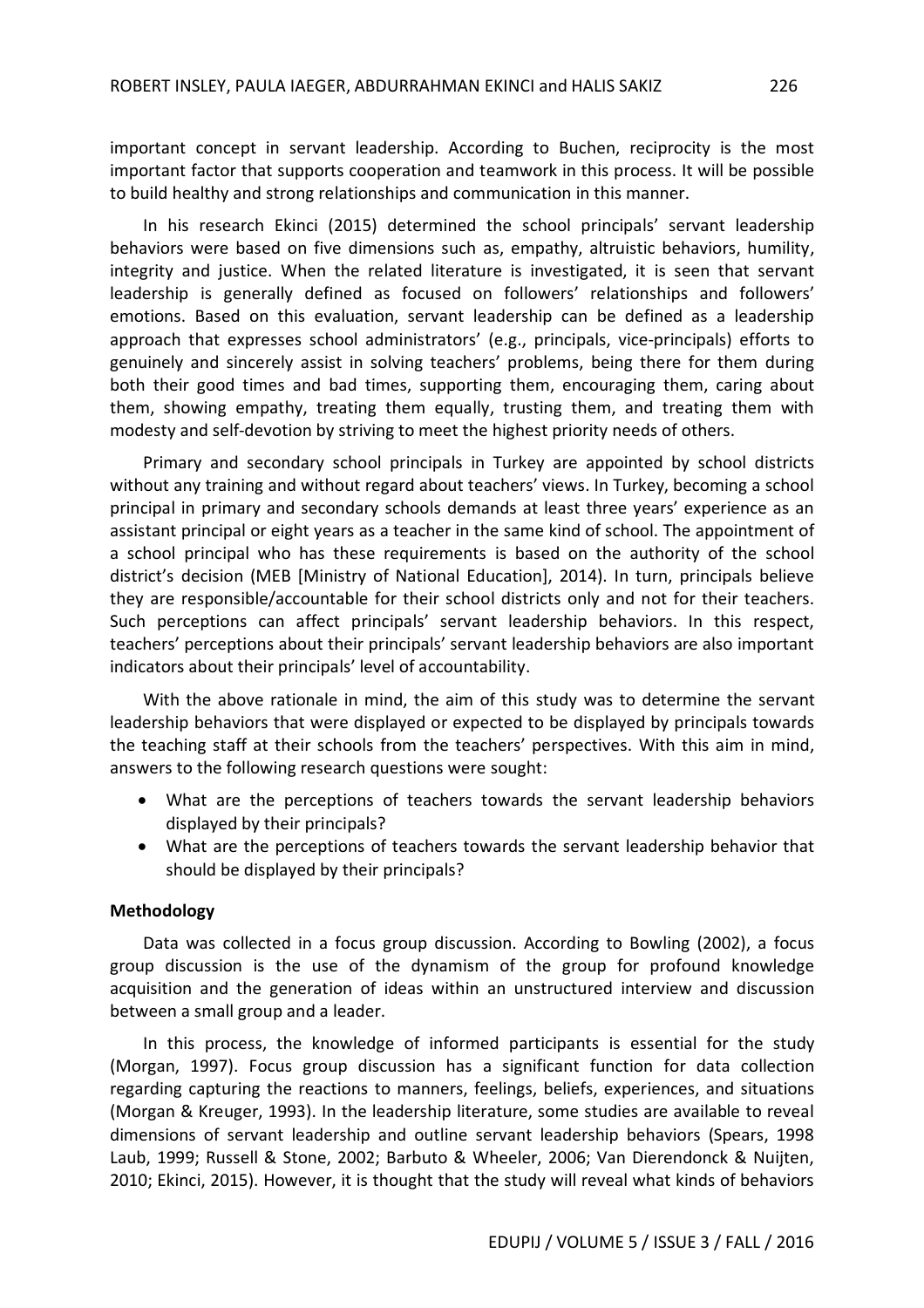important concept in servant leadership. According to Buchen, reciprocity is the most important factor that supports cooperation and teamwork in this process. It will be possible to build healthy and strong relationships and communication in this manner.

In his research Ekinci (2015) determined the school principals' servant leadership behaviors were based on five dimensions such as, empathy, altruistic behaviors, humility, integrity and justice. When the related literature is investigated, it is seen that servant leadership is generally defined as focused on followers' relationships and followers' emotions. Based on this evaluation, servant leadership can be defined as a leadership approach that expresses school administrators' (e.g., principals, vice-principals) efforts to genuinely and sincerely assist in solving teachers' problems, being there for them during both their good times and bad times, supporting them, encouraging them, caring about them, showing empathy, treating them equally, trusting them, and treating them with modesty and self-devotion by striving to meet the highest priority needs of others.

Primary and secondary school principals in Turkey are appointed by school districts without any training and without regard about teachers' views. In Turkey, becoming a school principal in primary and secondary schools demands at least three years' experience as an assistant principal or eight years as a teacher in the same kind of school. The appointment of a school principal who has these requirements is based on the authority of the school district's decision (MEB [Ministry of National Education], 2014). In turn, principals believe they are responsible/accountable for their school districts only and not for their teachers. Such perceptions can affect principals' servant leadership behaviors. In this respect, teachers' perceptions about their principals' servant leadership behaviors are also important indicators about their principals' level of accountability.

With the above rationale in mind, the aim of this study was to determine the servant leadership behaviors that were displayed or expected to be displayed by principals towards the teaching staff at their schools from the teachers' perspectives. With this aim in mind, answers to the following research questions were sought:

- What are the perceptions of teachers towards the servant leadership behaviors displayed by their principals?
- What are the perceptions of teachers towards the servant leadership behavior that should be displayed by their principals?

#### **Methodology**

Data was collected in a focus group discussion. According to Bowling (2002), a focus group discussion is the use of the dynamism of the group for profound knowledge acquisition and the generation of ideas within an unstructured interview and discussion between a small group and a leader.

In this process, the knowledge of informed participants is essential for the study (Morgan, 1997). Focus group discussion has a significant function for data collection regarding capturing the reactions to manners, feelings, beliefs, experiences, and situations (Morgan & Kreuger, 1993). In the leadership literature, some studies are available to reveal dimensions of servant leadership and outline servant leadership behaviors (Spears, 1998 Laub, 1999; Russell & Stone, 2002; Barbuto & Wheeler, 2006; Van Dierendonck & Nuijten, 2010; Ekinci, 2015). However, it is thought that the study will reveal what kinds of behaviors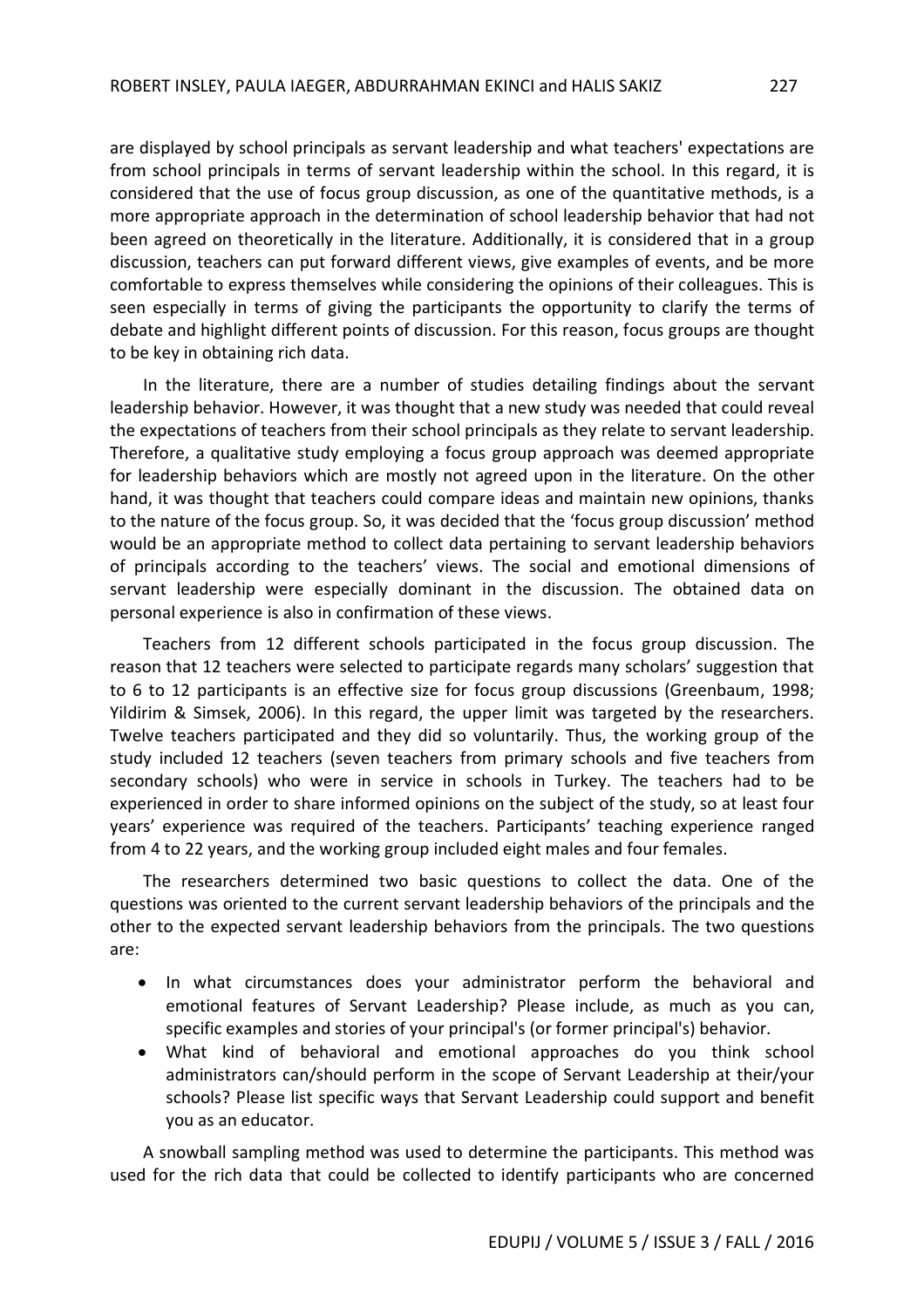are displayed by school principals as servant leadership and what teachers' expectations are from school principals in terms of servant leadership within the school. In this regard, it is considered that the use of focus group discussion, as one of the quantitative methods, is a more appropriate approach in the determination of school leadership behavior that had not been agreed on theoretically in the literature. Additionally, it is considered that in a group discussion, teachers can put forward different views, give examples of events, and be more comfortable to express themselves while considering the opinions of their colleagues. This is seen especially in terms of giving the participants the opportunity to clarify the terms of debate and highlight different points of discussion. For this reason, focus groups are thought to be key in obtaining rich data.

In the literature, there are a number of studies detailing findings about the servant leadership behavior. However, it was thought that a new study was needed that could reveal the expectations of teachers from their school principals as they relate to servant leadership. Therefore, a qualitative study employing a focus group approach was deemed appropriate for leadership behaviors which are mostly not agreed upon in the literature. On the other hand, it was thought that teachers could compare ideas and maintain new opinions, thanks to the nature of the focus group. So, it was decided that the 'focus group discussion' method would be an appropriate method to collect data pertaining to servant leadership behaviors of principals according to the teachers' views. The social and emotional dimensions of servant leadership were especially dominant in the discussion. The obtained data on personal experience is also in confirmation of these views.

Teachers from 12 different schools participated in the focus group discussion. The reason that 12 teachers were selected to participate regards many scholars' suggestion that to 6 to 12 participants is an effective size for focus group discussions (Greenbaum, 1998; Yildirim & Simsek, 2006). In this regard, the upper limit was targeted by the researchers. Twelve teachers participated and they did so voluntarily. Thus, the working group of the study included 12 teachers (seven teachers from primary schools and five teachers from secondary schools) who were in service in schools in Turkey. The teachers had to be experienced in order to share informed opinions on the subject of the study, so at least four years' experience was required of the teachers. Participants' teaching experience ranged from 4 to 22 years, and the working group included eight males and four females.

The researchers determined two basic questions to collect the data. One of the questions was oriented to the current servant leadership behaviors of the principals and the other to the expected servant leadership behaviors from the principals. The two questions are:

- In what circumstances does your administrator perform the behavioral and emotional features of Servant Leadership? Please include, as much as you can, specific examples and stories of your principal's (or former principal's) behavior.
- What kind of behavioral and emotional approaches do you think school administrators can/should perform in the scope of Servant Leadership at their/your schools? Please list specific ways that Servant Leadership could support and benefit you as an educator.

A snowball sampling method was used to determine the participants. This method was used for the rich data that could be collected to identify participants who are concerned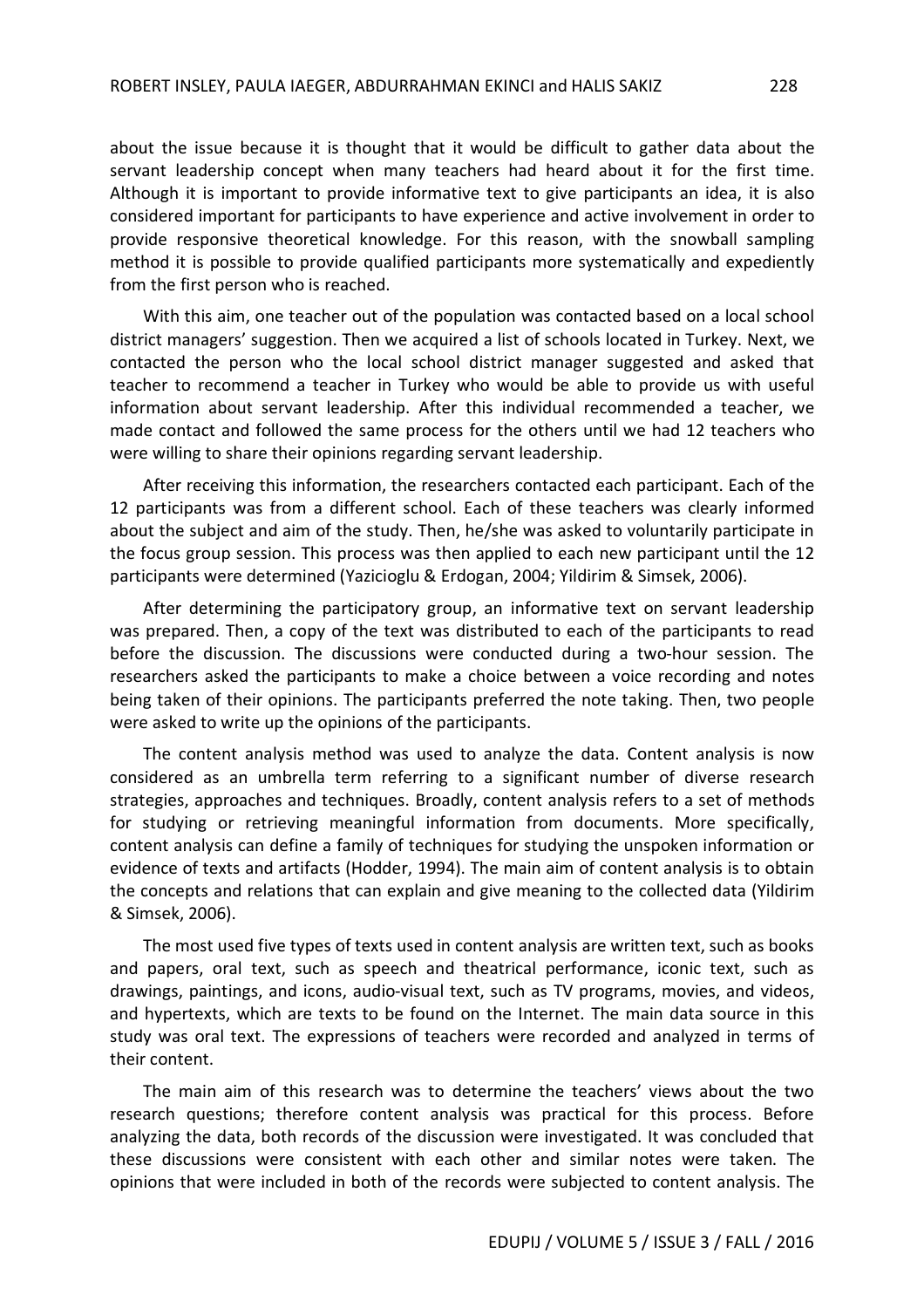about the issue because it is thought that it would be difficult to gather data about the servant leadership concept when many teachers had heard about it for the first time. Although it is important to provide informative text to give participants an idea, it is also considered important for participants to have experience and active involvement in order to provide responsive theoretical knowledge. For this reason, with the snowball sampling method it is possible to provide qualified participants more systematically and expediently from the first person who is reached.

With this aim, one teacher out of the population was contacted based on a local school district managers' suggestion. Then we acquired a list of schools located in Turkey. Next, we contacted the person who the local school district manager suggested and asked that teacher to recommend a teacher in Turkey who would be able to provide us with useful information about servant leadership. After this individual recommended a teacher, we made contact and followed the same process for the others until we had 12 teachers who were willing to share their opinions regarding servant leadership.

After receiving this information, the researchers contacted each participant. Each of the 12 participants was from a different school. Each of these teachers was clearly informed about the subject and aim of the study. Then, he/she was asked to voluntarily participate in the focus group session. This process was then applied to each new participant until the 12 participants were determined (Yazicioglu & Erdogan, 2004; Yildirim & Simsek, 2006).

After determining the participatory group, an informative text on servant leadership was prepared. Then, a copy of the text was distributed to each of the participants to read before the discussion. The discussions were conducted during a two-hour session. The researchers asked the participants to make a choice between a voice recording and notes being taken of their opinions. The participants preferred the note taking. Then, two people were asked to write up the opinions of the participants.

The content analysis method was used to analyze the data. Content analysis is now considered as an umbrella term referring to a significant number of diverse research strategies, approaches and techniques. Broadly, content analysis refers to a set of methods for studying or retrieving meaningful information from documents. More specifically, content analysis can define a family of techniques for studying the unspoken information or evidence of texts and artifacts (Hodder, 1994). The main aim of content analysis is to obtain the concepts and relations that can explain and give meaning to the collected data (Yildirim & Simsek, 2006).

The most used five types of texts used in content analysis are written text, such as books and papers, oral text, such as speech and theatrical performance, iconic text, such as drawings, paintings, and icons, audio-visual text, such as TV programs, movies, and videos, and hypertexts, which are texts to be found on the Internet. The main data source in this study was oral text. The expressions of teachers were recorded and analyzed in terms of their content.

The main aim of this research was to determine the teachers' views about the two research questions; therefore content analysis was practical for this process. Before analyzing the data, both records of the discussion were investigated. It was concluded that these discussions were consistent with each other and similar notes were taken. The opinions that were included in both of the records were subjected to content analysis. The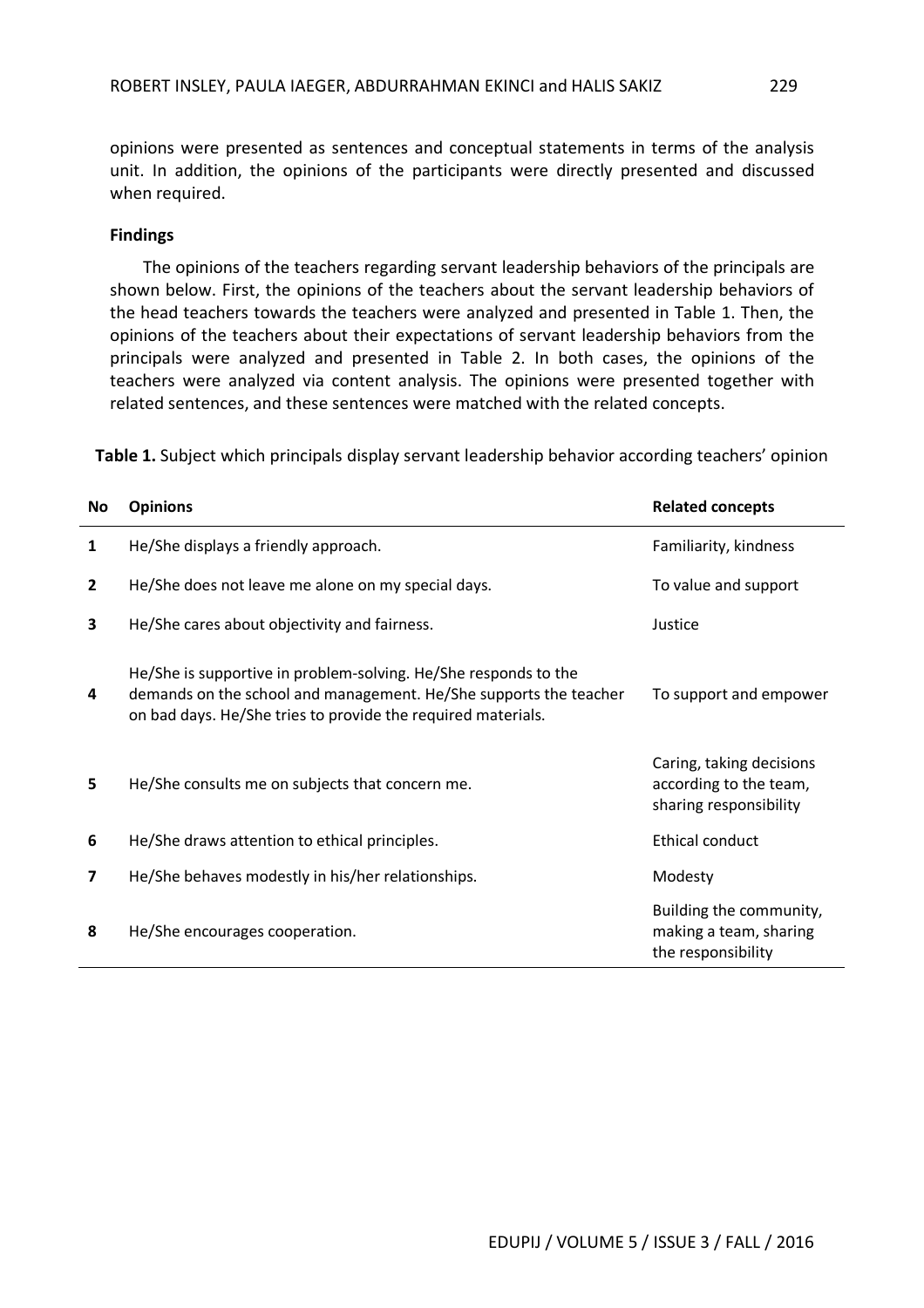opinions were presented as sentences and conceptual statements in terms of the analysis unit. In addition, the opinions of the participants were directly presented and discussed when required.

#### **Findings**

The opinions of the teachers regarding servant leadership behaviors of the principals are shown below. First, the opinions of the teachers about the servant leadership behaviors of the head teachers towards the teachers were analyzed and presented in Table 1. Then, the opinions of the teachers about their expectations of servant leadership behaviors from the principals were analyzed and presented in Table 2. In both cases, the opinions of the teachers were analyzed via content analysis. The opinions were presented together with related sentences, and these sentences were matched with the related concepts.

**Table 1.** Subject which principals display servant leadership behavior according teachers' opinion

| No             | <b>Opinions</b>                                                                                                                                                                                      | <b>Related concepts</b>                                                      |
|----------------|------------------------------------------------------------------------------------------------------------------------------------------------------------------------------------------------------|------------------------------------------------------------------------------|
| 1              | He/She displays a friendly approach.                                                                                                                                                                 | Familiarity, kindness                                                        |
| $\overline{2}$ | He/She does not leave me alone on my special days.                                                                                                                                                   | To value and support                                                         |
| 3              | He/She cares about objectivity and fairness.                                                                                                                                                         | Justice                                                                      |
| 4              | He/She is supportive in problem-solving. He/She responds to the<br>demands on the school and management. He/She supports the teacher<br>on bad days. He/She tries to provide the required materials. | To support and empower                                                       |
| 5              | He/She consults me on subjects that concern me.                                                                                                                                                      | Caring, taking decisions<br>according to the team,<br>sharing responsibility |
| 6              | He/She draws attention to ethical principles.                                                                                                                                                        | Ethical conduct                                                              |
| 7              | He/She behaves modestly in his/her relationships.                                                                                                                                                    | Modesty                                                                      |
| 8              | He/She encourages cooperation.                                                                                                                                                                       | Building the community,<br>making a team, sharing<br>the responsibility      |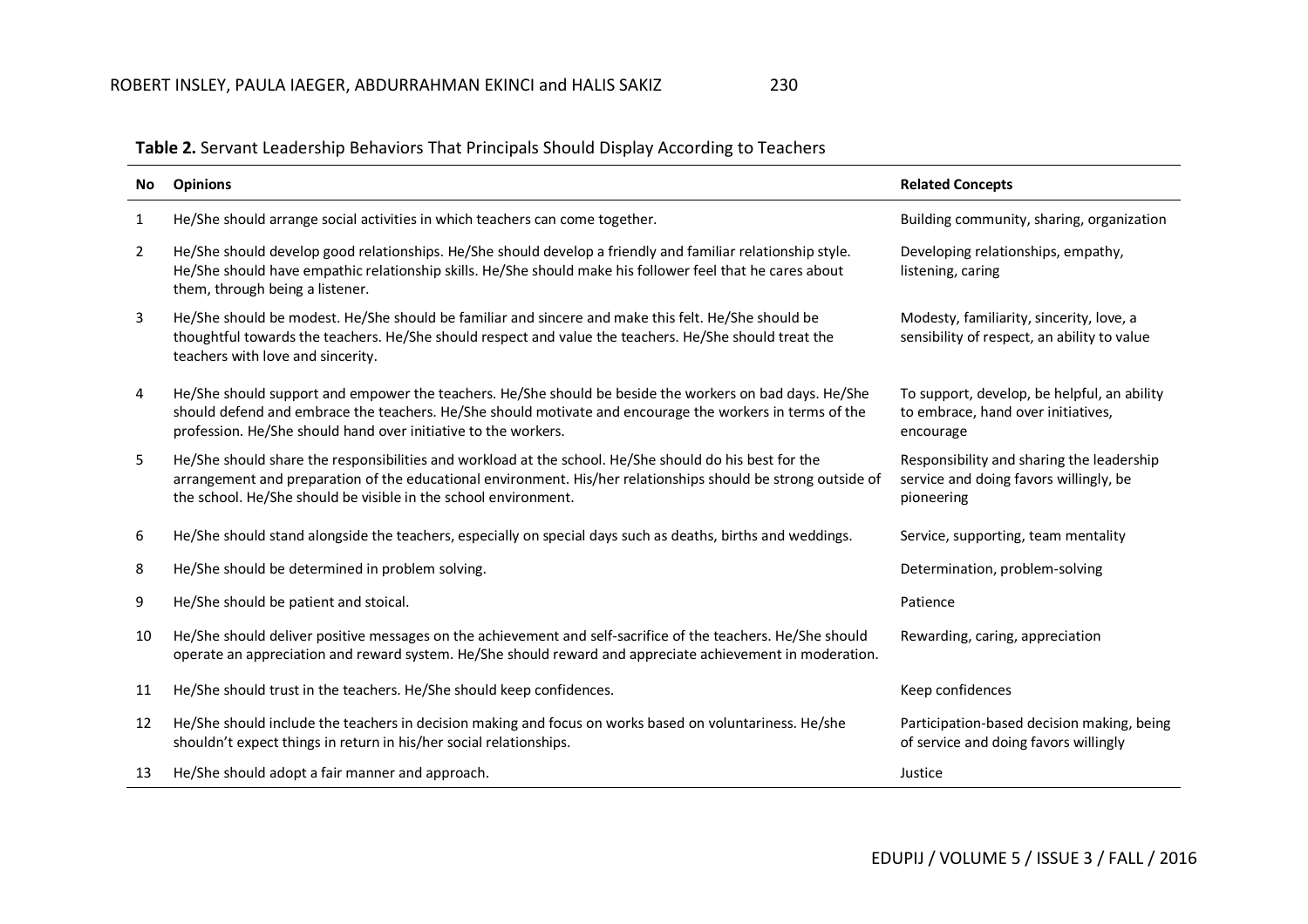| No             | <b>Opinions</b>                                                                                                                                                                                                                                                                            | <b>Related Concepts</b>                                                                           |
|----------------|--------------------------------------------------------------------------------------------------------------------------------------------------------------------------------------------------------------------------------------------------------------------------------------------|---------------------------------------------------------------------------------------------------|
| $\mathbf{1}$   | He/She should arrange social activities in which teachers can come together.                                                                                                                                                                                                               | Building community, sharing, organization                                                         |
| $\overline{2}$ | He/She should develop good relationships. He/She should develop a friendly and familiar relationship style.<br>He/She should have empathic relationship skills. He/She should make his follower feel that he cares about<br>them, through being a listener.                                | Developing relationships, empathy,<br>listening, caring                                           |
| 3              | He/She should be modest. He/She should be familiar and sincere and make this felt. He/She should be<br>thoughtful towards the teachers. He/She should respect and value the teachers. He/She should treat the<br>teachers with love and sincerity.                                         | Modesty, familiarity, sincerity, love, a<br>sensibility of respect, an ability to value           |
| 4              | He/She should support and empower the teachers. He/She should be beside the workers on bad days. He/She<br>should defend and embrace the teachers. He/She should motivate and encourage the workers in terms of the<br>profession. He/She should hand over initiative to the workers.      | To support, develop, be helpful, an ability<br>to embrace, hand over initiatives,<br>encourage    |
| 5              | He/She should share the responsibilities and workload at the school. He/She should do his best for the<br>arrangement and preparation of the educational environment. His/her relationships should be strong outside of<br>the school. He/She should be visible in the school environment. | Responsibility and sharing the leadership<br>service and doing favors willingly, be<br>pioneering |
| 6              | He/She should stand alongside the teachers, especially on special days such as deaths, births and weddings.                                                                                                                                                                                | Service, supporting, team mentality                                                               |
| 8              | He/She should be determined in problem solving.                                                                                                                                                                                                                                            | Determination, problem-solving                                                                    |
| 9              | He/She should be patient and stoical.                                                                                                                                                                                                                                                      | Patience                                                                                          |
| 10             | He/She should deliver positive messages on the achievement and self-sacrifice of the teachers. He/She should<br>operate an appreciation and reward system. He/She should reward and appreciate achievement in moderation.                                                                  | Rewarding, caring, appreciation                                                                   |
| 11             | He/She should trust in the teachers. He/She should keep confidences.                                                                                                                                                                                                                       | Keep confidences                                                                                  |
| 12             | He/She should include the teachers in decision making and focus on works based on voluntariness. He/she<br>shouldn't expect things in return in his/her social relationships.                                                                                                              | Participation-based decision making, being<br>of service and doing favors willingly               |
| 13             | He/She should adopt a fair manner and approach.                                                                                                                                                                                                                                            | Justice                                                                                           |

### **Table 2.** Servant Leadership Behaviors That Principals Should Display According to Teachers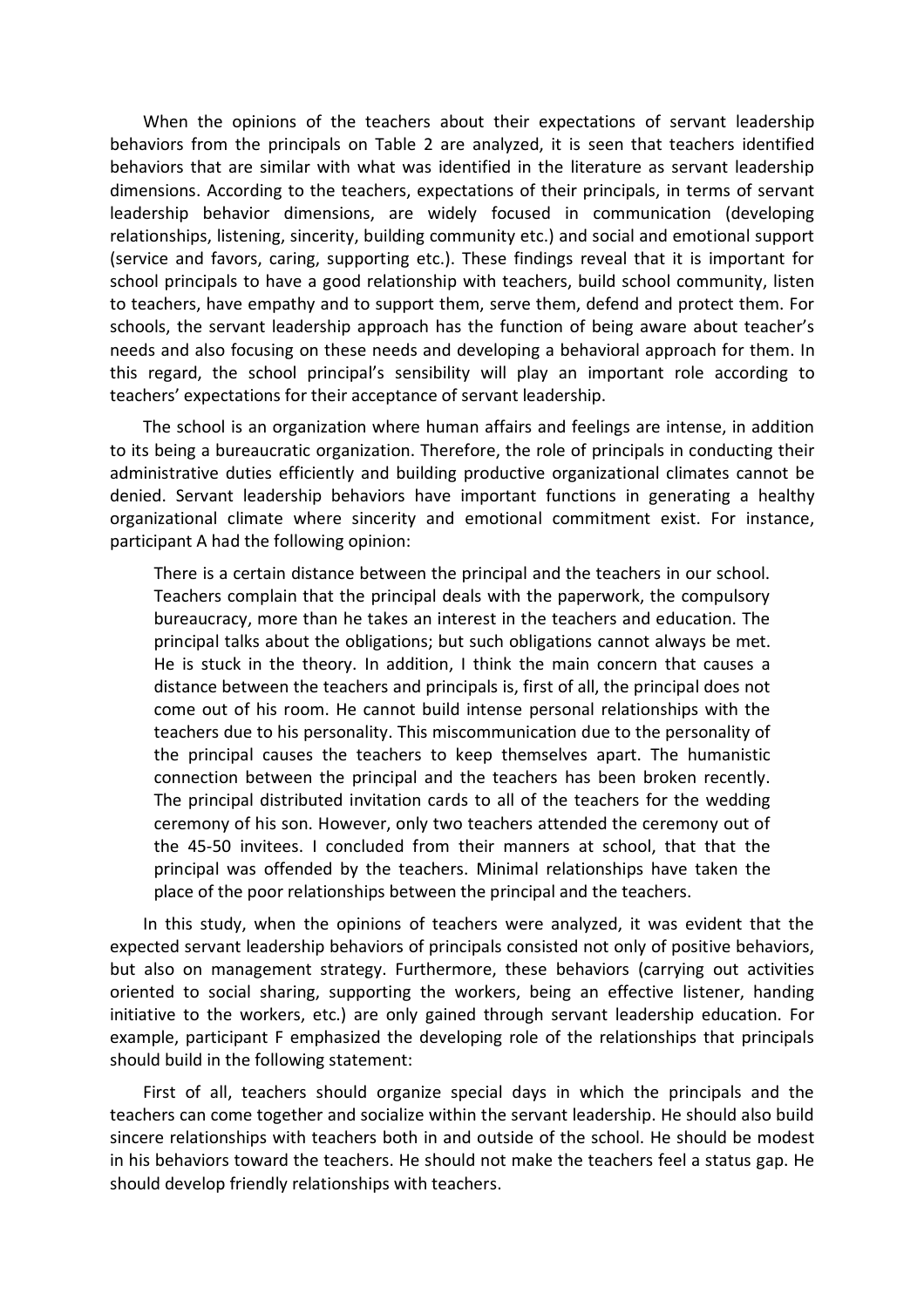When the opinions of the teachers about their expectations of servant leadership behaviors from the principals on Table 2 are analyzed, it is seen that teachers identified behaviors that are similar with what was identified in the literature as servant leadership dimensions. According to the teachers, expectations of their principals, in terms of servant leadership behavior dimensions, are widely focused in communication (developing relationships, listening, sincerity, building community etc.) and social and emotional support (service and favors, caring, supporting etc.). These findings reveal that it is important for school principals to have a good relationship with teachers, build school community, listen to teachers, have empathy and to support them, serve them, defend and protect them. For schools, the servant leadership approach has the function of being aware about teacher's needs and also focusing on these needs and developing a behavioral approach for them. In this regard, the school principal's sensibility will play an important role according to teachers' expectations for their acceptance of servant leadership.

The school is an organization where human affairs and feelings are intense, in addition to its being a bureaucratic organization. Therefore, the role of principals in conducting their administrative duties efficiently and building productive organizational climates cannot be denied. Servant leadership behaviors have important functions in generating a healthy organizational climate where sincerity and emotional commitment exist. For instance, participant A had the following opinion:

There is a certain distance between the principal and the teachers in our school. Teachers complain that the principal deals with the paperwork, the compulsory bureaucracy, more than he takes an interest in the teachers and education. The principal talks about the obligations; but such obligations cannot always be met. He is stuck in the theory. In addition, I think the main concern that causes a distance between the teachers and principals is, first of all, the principal does not come out of his room. He cannot build intense personal relationships with the teachers due to his personality. This miscommunication due to the personality of the principal causes the teachers to keep themselves apart. The humanistic connection between the principal and the teachers has been broken recently. The principal distributed invitation cards to all of the teachers for the wedding ceremony of his son. However, only two teachers attended the ceremony out of the 45-50 invitees. I concluded from their manners at school, that that the principal was offended by the teachers. Minimal relationships have taken the place of the poor relationships between the principal and the teachers.

In this study, when the opinions of teachers were analyzed, it was evident that the expected servant leadership behaviors of principals consisted not only of positive behaviors, but also on management strategy. Furthermore, these behaviors (carrying out activities oriented to social sharing, supporting the workers, being an effective listener, handing initiative to the workers, etc.) are only gained through servant leadership education. For example, participant F emphasized the developing role of the relationships that principals should build in the following statement:

First of all, teachers should organize special days in which the principals and the teachers can come together and socialize within the servant leadership. He should also build sincere relationships with teachers both in and outside of the school. He should be modest in his behaviors toward the teachers. He should not make the teachers feel a status gap. He should develop friendly relationships with teachers.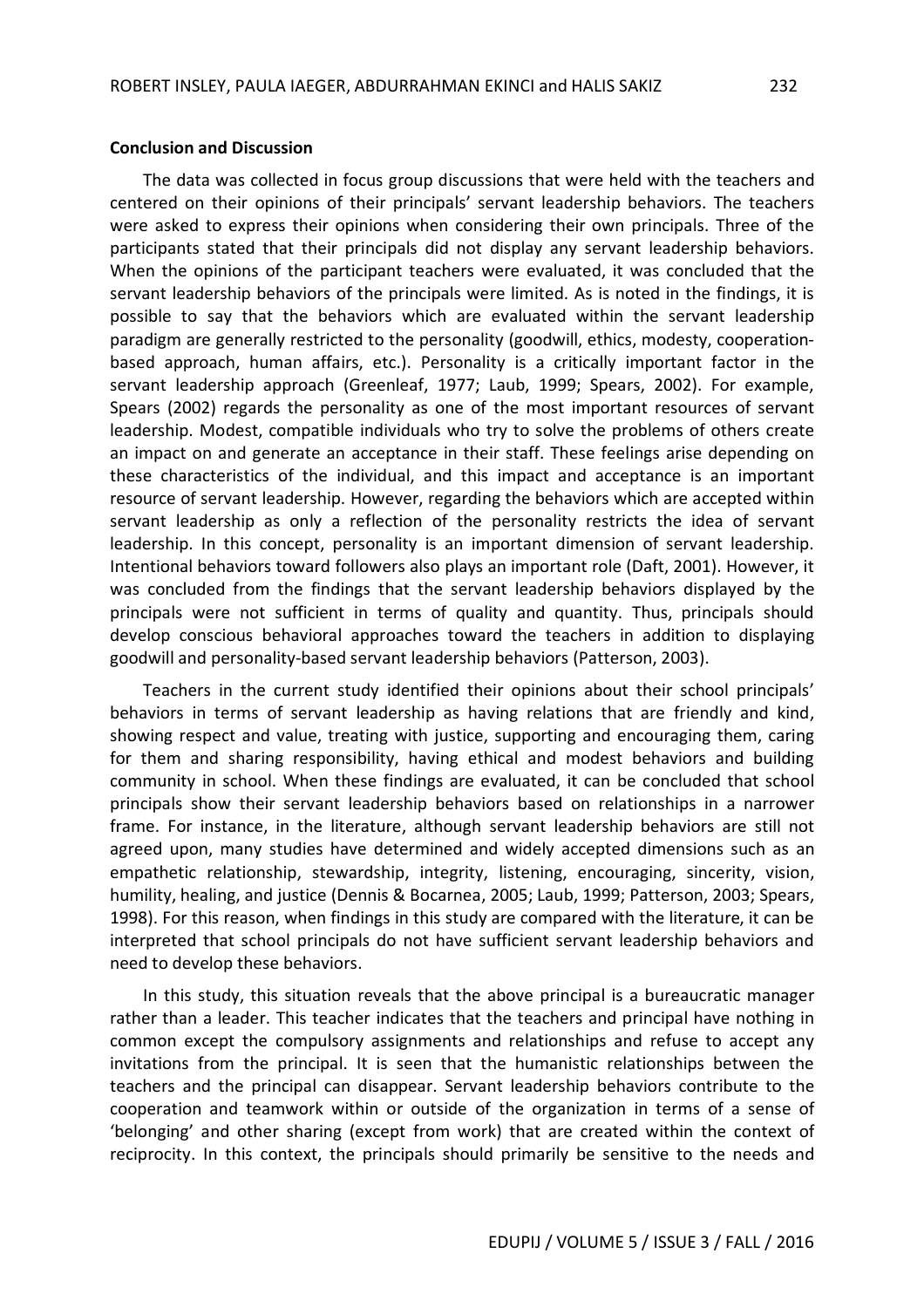#### **Conclusion and Discussion**

The data was collected in focus group discussions that were held with the teachers and centered on their opinions of their principals' servant leadership behaviors. The teachers were asked to express their opinions when considering their own principals. Three of the participants stated that their principals did not display any servant leadership behaviors. When the opinions of the participant teachers were evaluated, it was concluded that the servant leadership behaviors of the principals were limited. As is noted in the findings, it is possible to say that the behaviors which are evaluated within the servant leadership paradigm are generally restricted to the personality (goodwill, ethics, modesty, cooperationbased approach, human affairs, etc.). Personality is a critically important factor in the servant leadership approach (Greenleaf, 1977; Laub, 1999; Spears, 2002). For example, Spears (2002) regards the personality as one of the most important resources of servant leadership. Modest, compatible individuals who try to solve the problems of others create an impact on and generate an acceptance in their staff. These feelings arise depending on these characteristics of the individual, and this impact and acceptance is an important resource of servant leadership. However, regarding the behaviors which are accepted within servant leadership as only a reflection of the personality restricts the idea of servant leadership. In this concept, personality is an important dimension of servant leadership. Intentional behaviors toward followers also plays an important role (Daft, 2001). However, it was concluded from the findings that the servant leadership behaviors displayed by the principals were not sufficient in terms of quality and quantity. Thus, principals should develop conscious behavioral approaches toward the teachers in addition to displaying goodwill and personality-based servant leadership behaviors (Patterson, 2003).

Teachers in the current study identified their opinions about their school principals' behaviors in terms of servant leadership as having relations that are friendly and kind, showing respect and value, treating with justice, supporting and encouraging them, caring for them and sharing responsibility, having ethical and modest behaviors and building community in school. When these findings are evaluated, it can be concluded that school principals show their servant leadership behaviors based on relationships in a narrower frame. For instance, in the literature, although servant leadership behaviors are still not agreed upon, many studies have determined and widely accepted dimensions such as an empathetic relationship, stewardship, integrity, listening, encouraging, sincerity, vision, humility, healing, and justice (Dennis & Bocarnea, 2005; Laub, 1999; Patterson, 2003; Spears, 1998). For this reason, when findings in this study are compared with the literature, it can be interpreted that school principals do not have sufficient servant leadership behaviors and need to develop these behaviors.

In this study, this situation reveals that the above principal is a bureaucratic manager rather than a leader. This teacher indicates that the teachers and principal have nothing in common except the compulsory assignments and relationships and refuse to accept any invitations from the principal. It is seen that the humanistic relationships between the teachers and the principal can disappear. Servant leadership behaviors contribute to the cooperation and teamwork within or outside of the organization in terms of a sense of 'belonging' and other sharing (except from work) that are created within the context of reciprocity. In this context, the principals should primarily be sensitive to the needs and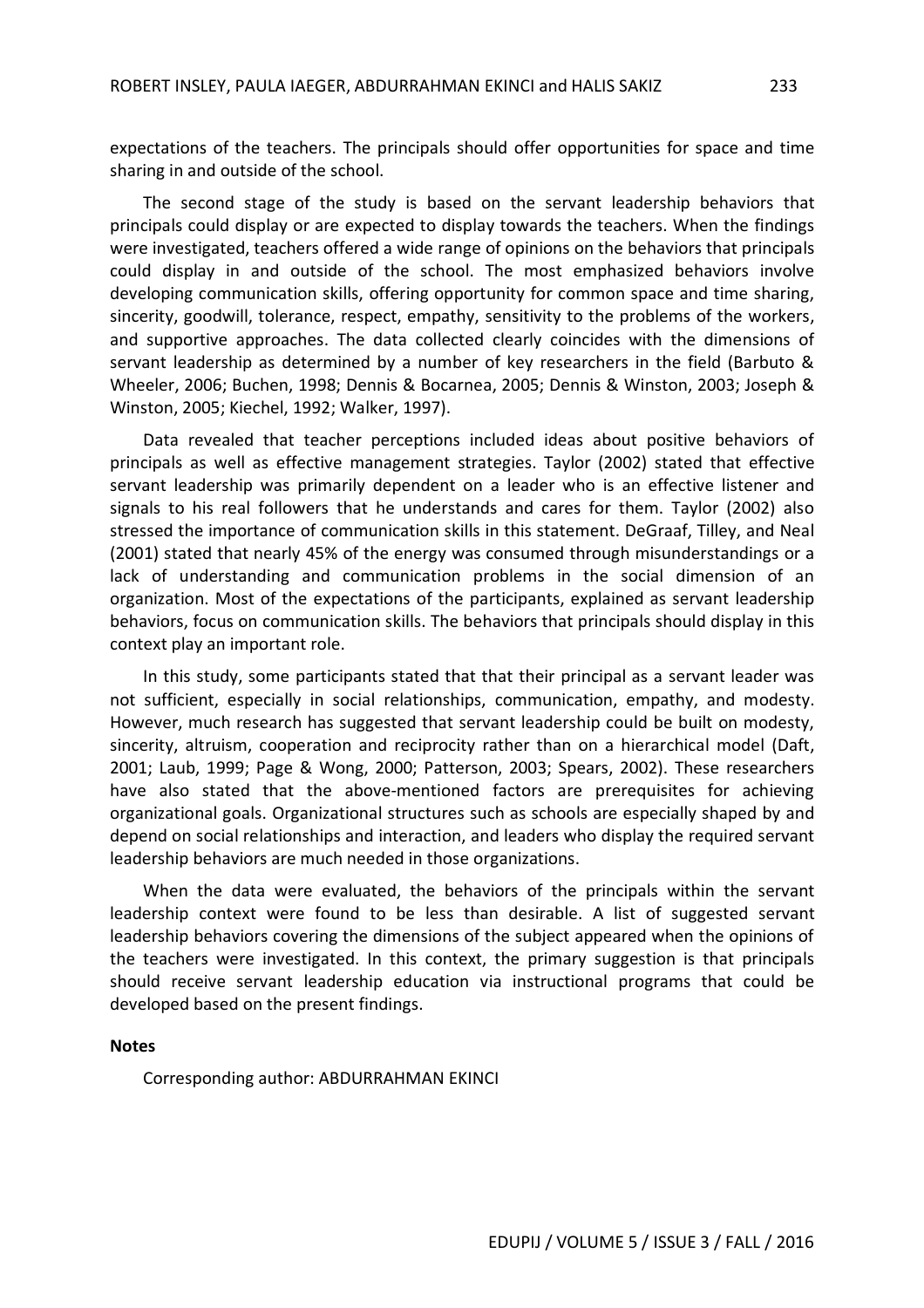expectations of the teachers. The principals should offer opportunities for space and time sharing in and outside of the school.

The second stage of the study is based on the servant leadership behaviors that principals could display or are expected to display towards the teachers. When the findings were investigated, teachers offered a wide range of opinions on the behaviors that principals could display in and outside of the school. The most emphasized behaviors involve developing communication skills, offering opportunity for common space and time sharing, sincerity, goodwill, tolerance, respect, empathy, sensitivity to the problems of the workers, and supportive approaches. The data collected clearly coincides with the dimensions of servant leadership as determined by a number of key researchers in the field (Barbuto & Wheeler, 2006; Buchen, 1998; Dennis & Bocarnea, 2005; Dennis & Winston, 2003; Joseph & Winston, 2005; Kiechel, 1992; Walker, 1997).

Data revealed that teacher perceptions included ideas about positive behaviors of principals as well as effective management strategies. Taylor (2002) stated that effective servant leadership was primarily dependent on a leader who is an effective listener and signals to his real followers that he understands and cares for them. Taylor (2002) also stressed the importance of communication skills in this statement. DeGraaf, Tilley, and Neal (2001) stated that nearly 45% of the energy was consumed through misunderstandings or a lack of understanding and communication problems in the social dimension of an organization. Most of the expectations of the participants, explained as servant leadership behaviors, focus on communication skills. The behaviors that principals should display in this context play an important role.

In this study, some participants stated that that their principal as a servant leader was not sufficient, especially in social relationships, communication, empathy, and modesty. However, much research has suggested that servant leadership could be built on modesty, sincerity, altruism, cooperation and reciprocity rather than on a hierarchical model (Daft, 2001; Laub, 1999; Page & Wong, 2000; Patterson, 2003; Spears, 2002). These researchers have also stated that the above-mentioned factors are prerequisites for achieving organizational goals. Organizational structures such as schools are especially shaped by and depend on social relationships and interaction, and leaders who display the required servant leadership behaviors are much needed in those organizations.

When the data were evaluated, the behaviors of the principals within the servant leadership context were found to be less than desirable. A list of suggested servant leadership behaviors covering the dimensions of the subject appeared when the opinions of the teachers were investigated. In this context, the primary suggestion is that principals should receive servant leadership education via instructional programs that could be developed based on the present findings.

#### **Notes**

Corresponding author: ABDURRAHMAN EKINCI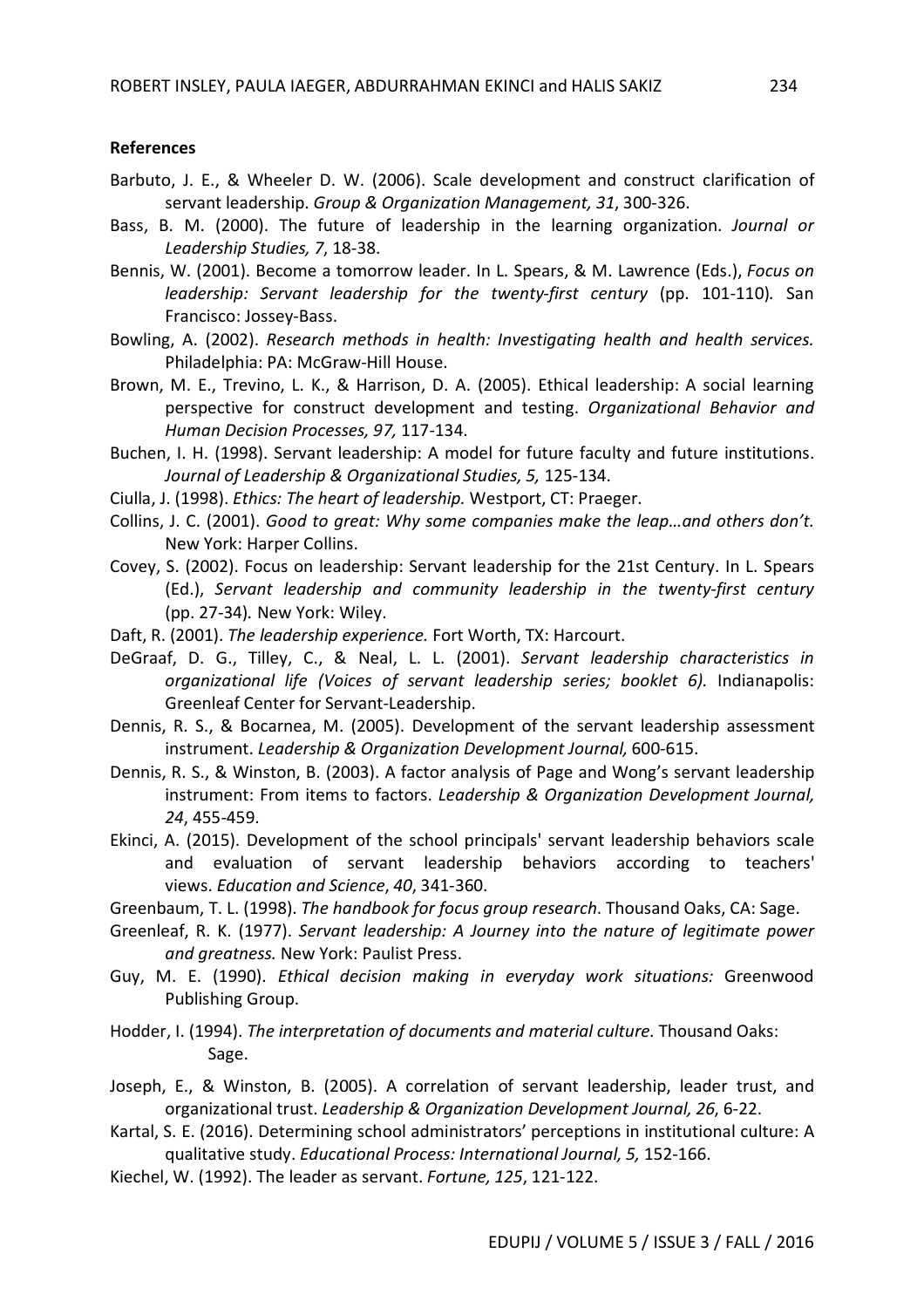#### **References**

- Barbuto, J. E., & Wheeler D. W. (2006). Scale development and construct clarification of servant leadership. *Group & Organization Management, 31*, 300-326.
- Bass, B. M. (2000). The future of leadership in the learning organization. *Journal or Leadership Studies, 7*, 18-38.
- Bennis, W. (2001). Become a tomorrow leader. In L. Spears, & M. Lawrence (Eds.), *Focus on leadership: Servant leadership for the twenty-first century* (pp. 101-110)*.* San Francisco: Jossey-Bass.
- Bowling, A. (2002). *Research methods in health: Investigating health and health services.* Philadelphia: PA: McGraw-Hill House.
- Brown, M. E., Trevino, L. K., & Harrison, D. A. (2005). Ethical leadership: A social learning perspective for construct development and testing. *Organizational Behavior and Human Decision Processes, 97,* 117-134.
- Buchen, I. H. (1998). Servant leadership: A model for future faculty and future institutions. *Journal of Leadership & Organizational Studies, 5,* 125-134.
- Ciulla, J. (1998). *Ethics: The heart of leadership.* Westport, CT: Praeger.
- Collins, J. C. (2001). *Good to great: Why some companies make the leap…and others don't.* New York: Harper Collins.
- Covey, S. (2002). Focus on leadership: Servant leadership for the 21st Century. In L. Spears (Ed.), *Servant leadership and community leadership in the twenty-first century* (pp. 27-34)*.* New York: Wiley.
- Daft, R. (2001). *The leadership experience.* Fort Worth, TX: Harcourt.
- DeGraaf, D. G., Tilley, C., & Neal, L. L. (2001). *Servant leadership characteristics in organizational life (Voices of servant leadership series; booklet 6).* Indianapolis: Greenleaf Center for Servant-Leadership.
- Dennis, R. S., & Bocarnea, M. (2005). Development of the servant leadership assessment instrument. *Leadership & Organization Development Journal,* 600-615.
- Dennis, R. S., & Winston, B. (2003). A factor analysis of Page and Wong's servant leadership instrument: From items to factors. *Leadership & Organization Development Journal, 24*, 455-459.
- Ekinci, A. (2015). Development of the school principals' servant leadership behaviors scale and evaluation of servant leadership behaviors according to teachers' views. *Education and Science*, *40*, 341-360.
- Greenbaum, T. L. (1998). *The handbook for focus group research*. Thousand Oaks, CA: Sage.
- Greenleaf, R. K. (1977). *Servant leadership: A Journey into the nature of legitimate power and greatness.* New York: Paulist Press.
- Guy, M. E. (1990). *Ethical decision making in everyday work situations:* Greenwood Publishing Group.
- Hodder, I. (1994). *The interpretation of documents and material culture*. Thousand Oaks: Sage.
- Joseph, E., & Winston, B. (2005). A correlation of servant leadership, leader trust, and organizational trust. *Leadership & Organization Development Journal, 26*, 6-22.
- Kartal, S. E. (2016). Determining school administrators' perceptions in institutional culture: A qualitative study. *Educational Process: International Journal, 5,* 152-166.
- Kiechel, W. (1992). The leader as servant. *Fortune, 125*, 121-122.